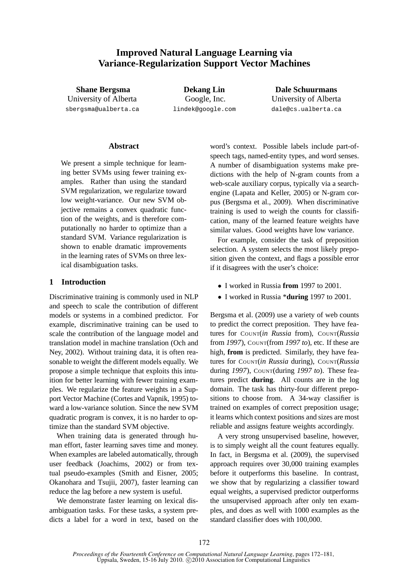# **Improved Natural Language Learning via Variance-Regularization Support Vector Machines**

**Shane Bergsma** University of Alberta sbergsma@ualberta.ca

**Dekang Lin** Google, Inc. lindek@google.com

**Dale Schuurmans** University of Alberta dale@cs.ualberta.ca

# **Abstract**

We present a simple technique for learning better SVMs using fewer training examples. Rather than using the standard SVM regularization, we regularize toward low weight-variance. Our new SVM objective remains a convex quadratic function of the weights, and is therefore computationally no harder to optimize than a standard SVM. Variance regularization is shown to enable dramatic improvements in the learning rates of SVMs on three lexical disambiguation tasks.

# **1 Introduction**

Discriminative training is commonly used in NLP and speech to scale the contribution of different models or systems in a combined predictor. For example, discriminative training can be used to scale the contribution of the language model and translation model in machine translation (Och and Ney, 2002). Without training data, it is often reasonable to weight the different models equally. We propose a simple technique that exploits this intuition for better learning with fewer training examples. We regularize the feature weights in a Support Vector Machine (Cortes and Vapnik, 1995) toward a low-variance solution. Since the new SVM quadratic program is convex, it is no harder to optimize than the standard SVM objective.

When training data is generated through human effort, faster learning saves time and money. When examples are labeled automatically, through user feedback (Joachims, 2002) or from textual pseudo-examples (Smith and Eisner, 2005; Okanohara and Tsujii, 2007), faster learning can reduce the lag before a new system is useful.

We demonstrate faster learning on lexical disambiguation tasks. For these tasks, a system predicts a label for a word in text, based on the word's context. Possible labels include part-ofspeech tags, named-entity types, and word senses. A number of disambiguation systems make predictions with the help of N-gram counts from a web-scale auxiliary corpus, typically via a searchengine (Lapata and Keller, 2005) or N-gram corpus (Bergsma et al., 2009). When discriminative training is used to weigh the counts for classification, many of the learned feature weights have similar values. Good weights have low variance.

For example, consider the task of preposition selection. A system selects the most likely preposition given the context, and flags a possible error if it disagrees with the user's choice:

- I worked in Russia **from** 1997 to 2001.
- I worked in Russia \***during** 1997 to 2001.

Bergsma et al. (2009) use a variety of web counts to predict the correct preposition. They have features for COUNT(*in Russia* from), COUNT(*Russia* from *1997*), COUNT(from *1997 to*), etc. If these are high, **from** is predicted. Similarly, they have features for COUNT(*in Russia* during), COUNT(*Russia* during *1997*), COUNT(during *1997 to*). These features predict **during**. All counts are in the log domain. The task has thirty-four different prepositions to choose from. A 34-way classifier is trained on examples of correct preposition usage; it learns which context positions and sizes are most reliable and assigns feature weights accordingly.

A very strong unsupervised baseline, however, is to simply weight all the count features equally. In fact, in Bergsma et al. (2009), the supervised approach requires over 30,000 training examples before it outperforms this baseline. In contrast, we show that by regularizing a classifier toward equal weights, a supervised predictor outperforms the unsupervised approach after only ten examples, and does as well with 1000 examples as the standard classifier does with 100,000.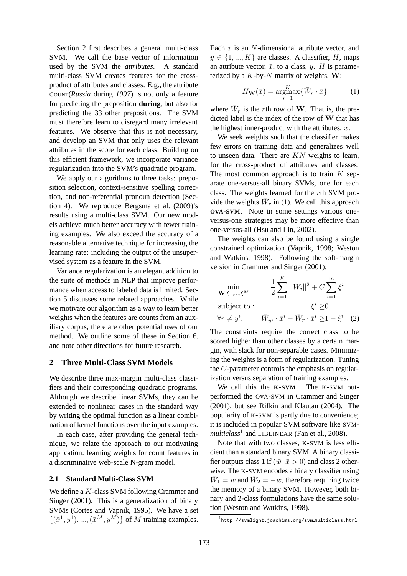Section 2 first describes a general multi-class SVM. We call the base vector of information used by the SVM the *attributes*. A standard multi-class SVM creates features for the crossproduct of attributes and classes. E.g., the attribute COUNT(*Russia* during *1997*) is not only a feature for predicting the preposition **during**, but also for predicting the 33 other prepositions. The SVM must therefore learn to disregard many irrelevant features. We observe that this is not necessary, and develop an SVM that only uses the relevant attributes in the score for each class. Building on this efficient framework, we incorporate variance regularization into the SVM's quadratic program.

We apply our algorithms to three tasks: preposition selection, context-sensitive spelling correction, and non-referential pronoun detection (Section 4). We reproduce Bergsma et al. (2009)'s results using a multi-class SVM. Our new models achieve much better accuracy with fewer training examples. We also exceed the accuracy of a reasonable alternative technique for increasing the learning rate: including the output of the unsupervised system as a feature in the SVM.

Variance regularization is an elegant addition to the suite of methods in NLP that improve performance when access to labeled data is limited. Section 5 discusses some related approaches. While we motivate our algorithm as a way to learn better weights when the features are counts from an auxiliary corpus, there are other potential uses of our method. We outline some of these in Section 6, and note other directions for future research.

# **2 Three Multi-Class SVM Models**

We describe three max-margin multi-class classifiers and their corresponding quadratic programs. Although we describe linear SVMs, they can be extended to nonlinear cases in the standard way by writing the optimal function as a linear combination of kernel functions over the input examples.

In each case, after providing the general technique, we relate the approach to our motivating application: learning weights for count features in a discriminative web-scale N-gram model.

#### **2.1 Standard Multi-Class SVM**

We define a K-class SVM following Crammer and Singer (2001). This is a generalization of binary SVMs (Cortes and Vapnik, 1995). We have a set  $\{(\bar{x}^1, y^1), ..., (\bar{x}^M, y^M)\}\$  of M training examples.

Each  $\bar{x}$  is an N-dimensional attribute vector, and  $y \in \{1, ..., K\}$  are classes. A classifier, H, maps an attribute vector,  $\bar{x}$ , to a class, y. H is parameterized by a  $K$ -by- $N$  matrix of weights,  $W$ :

$$
H_{\mathbf{W}}(\bar{x}) = \underset{r=1}{\operatorname{argmax}} \{ \bar{W}_r \cdot \bar{x} \}
$$
 (1)

where  $\bar{W}_r$  is the rth row of **W**. That is, the predicted label is the index of the row of  $W$  that has the highest inner-product with the attributes,  $\bar{x}$ .

We seek weights such that the classifier makes few errors on training data and generalizes well to unseen data. There are  $KN$  weights to learn, for the cross-product of attributes and classes. The most common approach is to train  $K$  separate one-versus-all binary SVMs, one for each class. The weights learned for the rth SVM provide the weights  $\bar{W}_r$  in (1). We call this approach **OvA-SVM**. Note in some settings various oneversus-one strategies may be more effective than one-versus-all (Hsu and Lin, 2002).

The weights can also be found using a single constrained optimization (Vapnik, 1998; Weston and Watkins, 1998). Following the soft-margin version in Crammer and Singer (2001):

$$
\min_{\mathbf{W}, \xi^1, \dots, \xi^M} \qquad \frac{1}{2} \sum_{i=1}^K ||\bar{W}_i||^2 + C \sum_{i=1}^m \xi^i
$$
\nsubject to : 
$$
\xi^i \ge 0
$$
\n
$$
\forall r \neq y^i, \qquad \bar{W}_{y^i} \cdot \bar{x}^i - \bar{W}_r \cdot \bar{x}^i \ge 1 - \xi^i \quad (2)
$$

The constraints require the correct class to be scored higher than other classes by a certain margin, with slack for non-separable cases. Minimizing the weights is a form of regularization. Tuning the C-parameter controls the emphasis on regularization versus separation of training examples.

We call this the **K-SVM**. The K-SVM outperformed the OvA-SVM in Crammer and Singer (2001), but see Rifkin and Klautau (2004). The popularity of K-SVM is partly due to convenience; it is included in popular SVM software like SVM*multiclass*<sup>1</sup> and LIBLINEAR (Fan et al., 2008).

Note that with two classes, K-SVM is less efficient than a standard binary SVM. A binary classifier outputs class 1 if  $(\bar{w} \cdot \bar{x} > 0)$  and class 2 otherwise. The K-SVM encodes a binary classifier using  $\bar{W}_1 = \bar{w}$  and  $\bar{W}_2 = -\bar{w}$ , therefore requiring twice the memory of a binary SVM. However, both binary and 2-class formulations have the same solution (Weston and Watkins, 1998).

<sup>1</sup> http://svmlight.joachims.org/svm multiclass.html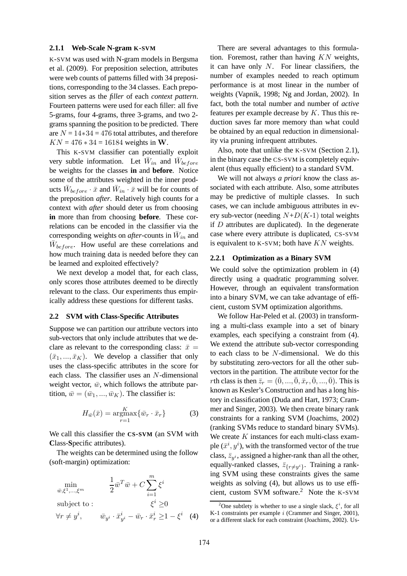### **2.1.1 Web-Scale N-gram K-SVM**

K-SVM was used with N-gram models in Bergsma et al. (2009). For preposition selection, attributes were web counts of patterns filled with 34 prepositions, corresponding to the 34 classes. Each preposition serves as the *filler* of each *context pattern*. Fourteen patterns were used for each filler: all five 5-grams, four 4-grams, three 3-grams, and two 2 grams spanning the position to be predicted. There are  $N = 14*34 = 476$  total attributes, and therefore  $KN = 476 * 34 = 16184$  weights in W.

This K-SVM classifier can potentially exploit very subtle information. Let  $\bar{W}_{in}$  and  $\bar{W}_{before}$ be weights for the classes **in** and **before**. Notice some of the attributes weighted in the inner products  $\bar{W}_{before} \cdot \bar{x}$  and  $\bar{W}_{in} \cdot \bar{x}$  will be for counts of the preposition *after*. Relatively high counts for a context with *after* should deter us from choosing **in** more than from choosing **before**. These correlations can be encoded in the classifier via the corresponding weights on *after*-counts in  $\bar{W}_{in}$  and  $\bar{W}_{before}$ . How useful are these correlations and how much training data is needed before they can be learned and exploited effectively?

We next develop a model that, for each class, only scores those attributes deemed to be directly relevant to the class. Our experiments thus empirically address these questions for different tasks.

#### **2.2 SVM with Class-Specific Attributes**

Suppose we can partition our attribute vectors into sub-vectors that only include attributes that we declare as relevant to the corresponding class:  $\bar{x}$  =  $(\bar{x}_1, ..., \bar{x}_K)$ . We develop a classifier that only uses the class-specific attributes in the score for each class. The classifier uses an N-dimensional weight vector,  $\bar{w}$ , which follows the attribute partition,  $\bar{w} = (\bar{w}_1, ..., \bar{w}_K)$ . The classifier is:

$$
H_{\bar{w}}(\bar{x}) = \underset{r=1}{\operatorname{argmax}} \{ \bar{w}_r \cdot \bar{x}_r \}
$$
 (3)

We call this classifier the **CS-SVM** (an SVM with **C**lass-**S**pecific attributes).

The weights can be determined using the follow (soft-margin) optimization:

$$
\min_{\bar{w}, \xi^1, \dots, \xi^m} \qquad \frac{1}{2} \bar{w}^T \bar{w} + C \sum_{i=1}^m \xi^i
$$
\nsubject to :  
\n
$$
\forall r \neq y^i, \qquad \bar{w}_{y^i} \cdot \bar{x}_{y^i}^i - \bar{w}_r \cdot \bar{x}_r^i \ge 1 - \xi^i \quad (4)
$$

There are several advantages to this formulation. Foremost, rather than having  $KN$  weights, it can have only  $N$ . For linear classifiers, the number of examples needed to reach optimum performance is at most linear in the number of weights (Vapnik, 1998; Ng and Jordan, 2002). In fact, both the total number and number of *active* features per example decrease by  $K$ . Thus this reduction saves far more memory than what could be obtained by an equal reduction in dimensionality via pruning infrequent attributes.

Also, note that unlike the K-SVM (Section 2.1), in the binary case the CS-SVM is completely equivalent (thus equally efficient) to a standard SVM.

We will not always *a priori* know the class associated with each attribute. Also, some attributes may be predictive of multiple classes. In such cases, we can include ambiguous attributes in every sub-vector (needing  $N+D(K-1)$  total weights if  $D$  attributes are duplicated). In the degenerate case where every attribute is duplicated, CS-SVM is equivalent to  $K-SVM$ ; both have  $KN$  weights.

### **2.2.1 Optimization as a Binary SVM**

We could solve the optimization problem in (4) directly using a quadratic programming solver. However, through an equivalent transformation into a binary SVM, we can take advantage of efficient, custom SVM optimization algorithms.

We follow Har-Peled et al. (2003) in transforming a multi-class example into a set of binary examples, each specifying a constraint from (4). We extend the attribute sub-vector corresponding to each class to be  $N$ -dimensional. We do this by substituting zero-vectors for all the other subvectors in the partition. The attribute vector for the rth class is then  $\bar{z}_r = (\bar{0}, ..., \bar{0}, \bar{x}_r, \bar{0}, ..., \bar{0})$ . This is known as Kesler's Construction and has a long history in classification (Duda and Hart, 1973; Crammer and Singer, 2003). We then create binary rank constraints for a ranking SVM (Joachims, 2002) (ranking SVMs reduce to standard binary SVMs). We create  $K$  instances for each multi-class example  $(\bar{x}^i, y^i)$ , with the transformed vector of the true class,  $\bar{z}_{y_i}$ , assigned a higher-rank than all the other, equally-ranked classes,  $\bar{z}_{\{r\neq y^{i}\}}$ . Training a ranking SVM using these constraints gives the same weights as solving (4), but allows us to use efficient, custom SVM software.<sup>2</sup> Note the <sup>K</sup>-SVM

<sup>&</sup>lt;sup>2</sup>One subtlety is whether to use a single slack,  $\xi^i$ , for all K-1 constraints per example *i* (Crammer and Singer, 2001), or a different slack for each constraint (Joachims, 2002). Us-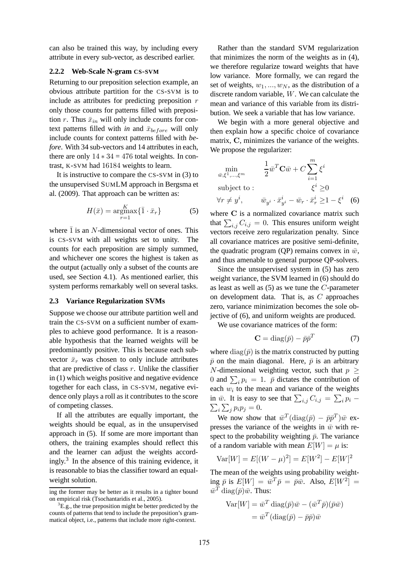can also be trained this way, by including every attribute in every sub-vector, as described earlier.

# **2.2.2 Web-Scale N-gram CS-SVM**

Returning to our preposition selection example, an obvious attribute partition for the CS-SVM is to include as attributes for predicting preposition  $r$ only those counts for patterns filled with preposition r. Thus  $\bar{x}_{in}$  will only include counts for context patterns filled with *in* and  $\bar{x}_{before}$  will only include counts for context patterns filled with *before*. With 34 sub-vectors and 14 attributes in each, there are only  $14 \times 34 = 476$  total weights. In contrast, K-SVM had 16184 weights to learn.

It is instructive to compare the CS-SVM in (3) to the unsupervised SUMLM approach in Bergsma et al. (2009). That approach can be written as:

$$
H(\bar{x}) = \underset{r=1}{\operatorname{argmax}} \{ \bar{1} \cdot \bar{x}_r \}
$$
 (5)

where  $\bar{1}$  is an N-dimensional vector of ones. This is CS-SVM with all weights set to unity. The counts for each preposition are simply summed, and whichever one scores the highest is taken as the output (actually only a subset of the counts are used, see Section 4.1). As mentioned earlier, this system performs remarkably well on several tasks.

### **2.3 Variance Regularization SVMs**

Suppose we choose our attribute partition well and train the CS-SVM on a sufficient number of examples to achieve good performance. It is a reasonable hypothesis that the learned weights will be predominantly positive. This is because each subvector  $\bar{x}_r$  was chosen to only include attributes that are predictive of class  $r$ . Unlike the classifier in (1) which weighs positive and negative evidence together for each class, in CS-SVM, negative evidence only plays a roll as it contributes to the score of competing classes.

If all the attributes are equally important, the weights should be equal, as in the unsupervised approach in (5). If some are more important than others, the training examples should reflect this and the learner can adjust the weights accordingly. $3$  In the absence of this training evidence, it is reasonable to bias the classifier toward an equalweight solution.

Rather than the standard SVM regularization that minimizes the norm of the weights as in (4), we therefore regularize toward weights that have low variance. More formally, we can regard the set of weights,  $w_1, ..., w_N$ , as the distribution of a discrete random variable, W. We can calculate the mean and variance of this variable from its distribution. We seek a variable that has low variance.

We begin with a more general objective and then explain how a specific choice of covariance matrix, C, minimizes the variance of the weights. We propose the regularizer:

$$
\min_{\bar{w}, \xi^1, \dots, \xi^m} \qquad \frac{1}{2} \bar{w}^T \mathbf{C} \bar{w} + C \sum_{i=1}^m \xi^i
$$
\n
$$
\text{subject to:} \qquad \qquad \xi^i \ge 0
$$
\n
$$
\forall r \neq y^i, \qquad \bar{w}_{y^i} \cdot \bar{x}_{y^i}^i - \bar{w}_r \cdot \bar{x}_r^i \ge 1 - \xi^i \quad (6)
$$

where C is a normalized covariance matrix such that  $\sum_{i,j} C_{i,j} = 0$ . This ensures uniform weight vectors receive zero regularization penalty. Since all covariance matrices are positive semi-definite, the quadratic program (QP) remains convex in  $\bar{w}$ , and thus amenable to general purpose QP-solvers.

Since the unsupervised system in (5) has zero weight variance, the SVM learned in (6) should do as least as well as  $(5)$  as we tune the C-parameter on development data. That is, as C approaches zero, variance minimization becomes the sole objective of (6), and uniform weights are produced.

We use covariance matrices of the form:

$$
\mathbf{C} = \text{diag}(\bar{p}) - \bar{p}\bar{p}^T \tag{7}
$$

where  $diag(\bar{p})$  is the matrix constructed by putting  $\bar{p}$  on the main diagonal. Here,  $\bar{p}$  is an arbitrary N-dimensional weighting vector, such that  $p \geq$ 0 and  $\sum_i p_i = 1$ .  $\bar{p}$  dictates the contribution of each  $w_i$  to the mean and variance of the weights in  $\bar{w}$ . It is easy to see that  $\sum_{i,j} C_{i,j} = \sum_i p_i$  –  $\sum_i \sum_j p_i p_j = 0.$ 

We now show that  $\bar{w}^T(\text{diag}(\bar{p}) - \bar{p}\bar{p}^T)\bar{w}$  expresses the variance of the weights in  $\bar{w}$  with respect to the probability weighting  $\bar{p}$ . The variance of a random variable with mean  $E[W] = \mu$  is:

$$
Var[W] = E[(W - \mu)^{2}] = E[W^{2}] - E[W]^{2}
$$

The mean of the weights using probability weighting  $\bar{p}$  is  $E[W] = \bar{w}^T \bar{p} = \bar{p}\bar{w}$ . Also,  $E[W^2] =$  $\bar w^T \, \mathrm{diag}(\bar p) \bar w.$  Thus:

$$
Var[W] = \bar{w}^T \operatorname{diag}(\bar{p})\bar{w} - (\bar{w}^T \bar{p})(\bar{p}\bar{w})
$$

$$
= \bar{w}^T(\operatorname{diag}(\bar{p}) - \bar{p}\bar{p})\bar{w}
$$

ing the former may be better as it results in a tighter bound on empirical risk (Tsochantaridis et al., 2005).

 ${}^{3}E.g.,$  the true preposition might be better predicted by the counts of patterns that tend to include the preposition's grammatical object, i.e., patterns that include more right-context.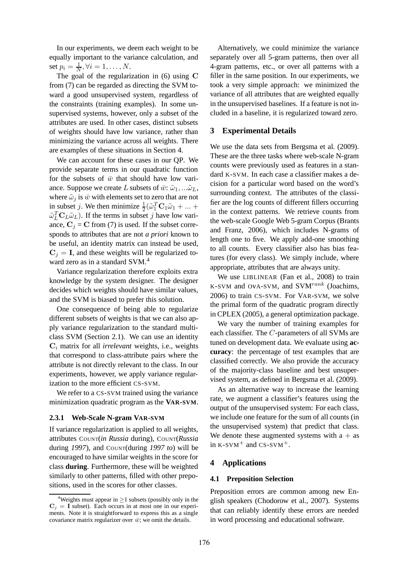In our experiments, we deem each weight to be equally important to the variance calculation, and set  $p_i = \frac{1}{N}$  $\frac{1}{N}, \forall i = 1, \ldots, N.$ 

The goal of the regularization in (6) using C from (7) can be regarded as directing the SVM toward a good unsupervised system, regardless of the constraints (training examples). In some unsupervised systems, however, only a subset of the attributes are used. In other cases, distinct subsets of weights should have low variance, rather than minimizing the variance across all weights. There are examples of these situations in Section 4.

We can account for these cases in our QP. We provide separate terms in our quadratic function for the subsets of  $\bar{w}$  that should have low variance. Suppose we create L subsets of  $\bar{w}$ :  $\tilde{\omega}_1$ , ... $\tilde{\omega}_L$ , where  $\tilde{\omega}_i$  is  $\bar{w}$  with elements set to zero that are not in subset j. We then minimize  $\frac{1}{2}(\tilde{\omega}_1^T \mathbf{C}_1 \tilde{\omega}_1 + ... +$  $\tilde{\omega}_L^T \mathbf{C}_L \tilde{\omega}_L$ ). If the terms in subset j have low variance,  $C_i = C$  from (7) is used. If the subset corresponds to attributes that are not *a priori* known to be useful, an identity matrix can instead be used,  $C_i = I$ , and these weights will be regularized toward zero as in a standard SVM.<sup>4</sup>

Variance regularization therefore exploits extra knowledge by the system designer. The designer decides which weights should have similar values, and the SVM is biased to prefer this solution.

One consequence of being able to regularize different subsets of weights is that we can also apply variance regularization to the standard multiclass SVM (Section 2.1). We can use an identity  $C_i$  matrix for all *irrelevant* weights, i.e., weights that correspond to class-attribute pairs where the attribute is not directly relevant to the class. In our experiments, however, we apply variance regularization to the more efficient CS-SVM.

We refer to a CS-SVM trained using the variance minimization quadratic program as the **VAR-SVM**.

#### **2.3.1 Web-Scale N-gram VAR-SVM**

If variance regularization is applied to all weights, attributes COUNT(*in Russia* during), COUNT(*Russia* during 1997), and COUNT(during 1997 to) will be encouraged to have similar weights in the score for class **during**. Furthermore, these will be weighted similarly to other patterns, filled with other prepositions, used in the scores for other classes.

Alternatively, we could minimize the variance separately over all 5-gram patterns, then over all 4-gram patterns, etc., or over all patterns with a filler in the same position. In our experiments, we took a very simple approach: we minimized the variance of all attributes that are weighted equally in the unsupervised baselines. If a feature is not included in a baseline, it is regularized toward zero.

# **3 Experimental Details**

We use the data sets from Bergsma et al. (2009). These are the three tasks where web-scale N-gram counts were previously used as features in a standard K-SVM. In each case a classifier makes a decision for a particular word based on the word's surrounding context. The attributes of the classifier are the log counts of different fillers occurring in the context patterns. We retrieve counts from the web-scale Google Web 5-gram Corpus (Brants and Franz, 2006), which includes N-grams of length one to five. We apply add-one smoothing to all counts. Every classifier also has bias features (for every class). We simply include, where appropriate, attributes that are always unity.

We use LIBLINEAR (Fan et al., 2008) to train K-SVM and OvA-SVM, and SVM $^{rank}$  (Joachims, 2006) to train CS-SVM. For VAR-SVM, we solve the primal form of the quadratic program directly in CPLEX (2005), a general optimization package.

We vary the number of training examples for each classifier. The C-parameters of all SVMs are tuned on development data. We evaluate using **accuracy**: the percentage of test examples that are classified correctly. We also provide the accuracy of the majority-class baseline and best unsupervised system, as defined in Bergsma et al. (2009).

As an alternative way to increase the learning rate, we augment a classifier's features using the output of the unsupervised system: For each class, we include one feature for the sum of all counts (in the unsupervised system) that predict that class. We denote these augmented systems with  $a + as$ in  $K-SVM$ <sup>+</sup> and  $CS-SVM$ <sup>+</sup>.

### **4 Applications**

### **4.1 Preposition Selection**

Preposition errors are common among new English speakers (Chodorow et al., 2007). Systems that can reliably identify these errors are needed in word processing and educational software.

<sup>&</sup>lt;sup>4</sup>Weights must appear in  $\geq$  1 subsets (possibly only in the  $C_i = I$  subset). Each occurs in at most one in our experiments. Note it is straightforward to express this as a single covariance matrix regularizer over  $\bar{w}$ ; we omit the details.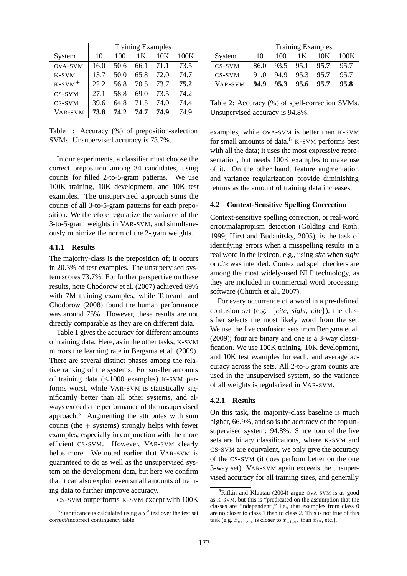|                       | <b>Training Examples</b> |      |                |      |      |
|-----------------------|--------------------------|------|----------------|------|------|
| System                | 10                       | 100  | 1 <sub>K</sub> | 10K  | 100K |
| OVA-SVM               | 16.0                     | 50.6 | 66.1           | 71.1 | 73.5 |
| $K-SVM$               | 13.7                     | 50.0 | 65.8           | 72.0 | 74.7 |
| $K-SVM$ <sup>+</sup>  | 22.2                     | 56.8 | 70.5           | 73.7 | 75.2 |
| $CS-SVM$              | 27.1                     | 58.8 | 69.0           | 73.5 | 74.2 |
| $CS-SVM$ <sup>+</sup> | 39.6                     | 64.8 | 71.5           | 74.0 | 74.4 |
| VAR-SVM               | 73.8                     | 74.2 | 74.7           | 74.9 | 74 9 |

Table 1: Accuracy (%) of preposition-selection SVMs. Unsupervised accuracy is 73.7%.

In our experiments, a classifier must choose the correct preposition among 34 candidates, using counts for filled 2-to-5-gram patterns. We use 100K training, 10K development, and 10K test examples. The unsupervised approach sums the counts of all 3-to-5-gram patterns for each preposition. We therefore regularize the variance of the 3-to-5-gram weights in VAR-SVM, and simultaneously minimize the norm of the 2-gram weights.

### **4.1.1 Results**

The majority-class is the preposition **of**; it occurs in 20.3% of test examples. The unsupervised system scores 73.7%. For further perspective on these results, note Chodorow et al. (2007) achieved 69% with 7M training examples, while Tetreault and Chodorow (2008) found the human performance was around 75%. However, these results are not directly comparable as they are on different data.

Table 1 gives the accuracy for different amounts of training data. Here, as in the other tasks, K-SVM mirrors the learning rate in Bergsma et al. (2009). There are several distinct phases among the relative ranking of the systems. For smaller amounts of training data (≤1000 examples) K-SVM performs worst, while VAR-SVM is statistically significantly better than all other systems, and always exceeds the performance of the unsupervised approach. $5$  Augmenting the attributes with sum counts (the + systems) strongly helps with fewer examples, especially in conjunction with the more efficient CS-SVM. However, VAR-SVM clearly helps more. We noted earlier that VAR-SVM is guaranteed to do as well as the unsupervised system on the development data, but here we confirm that it can also exploit even small amounts of training data to further improve accuracy.

CS-SVM outperforms K-SVM except with 100K

|                                                                                                                     | <b>Training Examples</b> |     |  |             |  |
|---------------------------------------------------------------------------------------------------------------------|--------------------------|-----|--|-------------|--|
| System                                                                                                              | - 10                     | 100 |  | 1K 10K 100K |  |
|                                                                                                                     |                          |     |  |             |  |
|                                                                                                                     |                          |     |  |             |  |
| CS-SVM 86.0 93.5 95.1 95.7 95.7<br>CS-SVM <sup>+</sup> 91.0 94.9 95.3 95.7 95.7<br>VAR-SVM 94.9 95.3 95.6 95.7 95.8 |                          |     |  |             |  |

Table 2: Accuracy (%) of spell-correction SVMs. Unsupervised accuracy is 94.8%.

examples, while OvA-SVM is better than K-SVM for small amounts of data.<sup>6</sup> K-SVM performs best with all the data; it uses the most expressive representation, but needs 100K examples to make use of it. On the other hand, feature augmentation and variance regularization provide diminishing returns as the amount of training data increases.

### **4.2 Context-Sensitive Spelling Correction**

Context-sensitive spelling correction, or real-word error/malapropism detection (Golding and Roth, 1999; Hirst and Budanitsky, 2005), is the task of identifying errors when a misspelling results in a real word in the lexicon, e.g., using *site* when *sight* or *cite* was intended. Contextual spell checkers are among the most widely-used NLP technology, as they are included in commercial word processing software (Church et al., 2007).

For every occurrence of a word in a pre-defined confusion set (e.g. {*cite, sight, cite*}), the classifier selects the most likely word from the set. We use the five confusion sets from Bergsma et al. (2009); four are binary and one is a 3-way classification. We use 100K training, 10K development, and 10K test examples for each, and average accuracy across the sets. All 2-to-5 gram counts are used in the unsupervised system, so the variance of all weights is regularized in VAR-SVM.

### **4.2.1 Results**

On this task, the majority-class baseline is much higher,  $66.9\%$ , and so is the accuracy of the top unsupervised system: 94.8%. Since four of the five sets are binary classifications, where K-SVM and CS-SVM are equivalent, we only give the accuracy of the CS-SVM (it does perform better on the one 3-way set). VAR-SVM again exceeds the unsupervised accuracy for all training sizes, and generally

<sup>&</sup>lt;sup>5</sup>Significance is calculated using a  $\chi^2$  test over the test set correct/incorrect contingency table.

 ${}^{6}$ Rifkin and Klautau (2004) argue OvA-SVM is as good as K-SVM, but this is "predicated on the assumption that the classes are 'independent'," i.e., that examples from class 0 are no closer to class 1 than to class 2. This is not true of this task (e.g.  $\bar{x}_{before}$  is closer to  $\bar{x}_{after}$  than  $\bar{x}_{in}$ , etc.).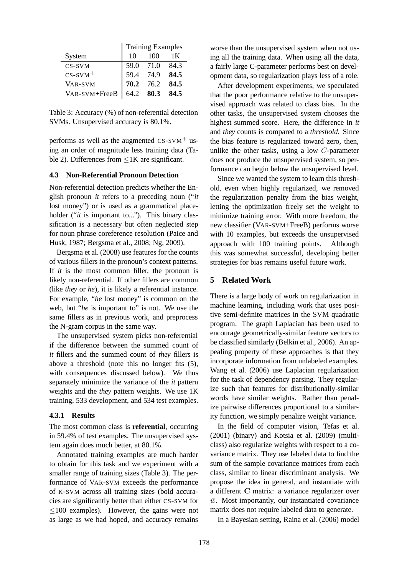|                       | <b>Training Examples</b> |                  |                |  |
|-----------------------|--------------------------|------------------|----------------|--|
| System                | 10.                      | -100             | 1 <sub>K</sub> |  |
| CS-SVM                |                          | 59.0 71.0 84.3   |                |  |
| $CS-SVM$ <sup>+</sup> |                          | 59.4 74.9 84.5   |                |  |
| VAR-SVM               |                          | $70.2$ 76.2 84.5 |                |  |
| VAR-SVM+FreeB         |                          | 64.2 80.3 84.5   |                |  |

Table 3: Accuracy (%) of non-referential detection SVMs. Unsupervised accuracy is 80.1%.

performs as well as the augmented  $CS-SVM<sup>+</sup>$  using an order of magnitude less training data (Table 2). Differences from ≤1K are significant.

### **4.3 Non-Referential Pronoun Detection**

Non-referential detection predicts whether the English pronoun *it* refers to a preceding noun ("*it* lost money") or is used as a grammatical placeholder ("*it* is important to..."). This binary classification is a necessary but often neglected step for noun phrase coreference resolution (Paice and Husk, 1987; Bergsma et al., 2008; Ng, 2009).

Bergsma et al. (2008) use features for the counts of various fillers in the pronoun's context patterns. If *it* is the most common filler, the pronoun is likely non-referential. If other fillers are common (like *they* or *he*), it is likely a referential instance. For example, "*he* lost money" is common on the web, but "*he* is important to" is not. We use the same fillers as in previous work, and preprocess the N-gram corpus in the same way.

The unsupervised system picks non-referential if the difference between the summed count of *it* fillers and the summed count of *they* fillers is above a threshold (note this no longer fits (5), with consequences discussed below). We thus separately minimize the variance of the *it* pattern weights and the *they* pattern weights. We use 1K training, 533 development, and 534 test examples.

### **4.3.1 Results**

The most common class is **referential**, occurring in 59.4% of test examples. The unsupervised system again does much better, at 80.1%.

Annotated training examples are much harder to obtain for this task and we experiment with a smaller range of training sizes (Table 3). The performance of VAR-SVM exceeds the performance of K-SVM across all training sizes (bold accuracies are significantly better than either CS-SVM for ≤100 examples). However, the gains were not as large as we had hoped, and accuracy remains

worse than the unsupervised system when not using all the training data. When using all the data, a fairly large C-parameter performs best on development data, so regularization plays less of a role.

After development experiments, we speculated that the poor performance relative to the unsupervised approach was related to class bias. In the other tasks, the unsupervised system chooses the highest summed score. Here, the difference in *it* and *they* counts is compared to a *threshold*. Since the bias feature is regularized toward zero, then, unlike the other tasks, using a low C-parameter does not produce the unsupervised system, so performance can begin below the unsupervised level.

Since we wanted the system to learn this threshold, even when highly regularized, we removed the regularization penalty from the bias weight, letting the optimization freely set the weight to minimize training error. With more freedom, the new classifier (VAR-SVM+FreeB) performs worse with 10 examples, but exceeds the unsupervised approach with 100 training points. Although this was somewhat successful, developing better strategies for bias remains useful future work.

### **5 Related Work**

There is a large body of work on regularization in machine learning, including work that uses positive semi-definite matrices in the SVM quadratic program. The graph Laplacian has been used to encourage geometrically-similar feature vectors to be classified similarly (Belkin et al., 2006). An appealing property of these approaches is that they incorporate information from unlabeled examples. Wang et al. (2006) use Laplacian regularization for the task of dependency parsing. They regularize such that features for distributionally-similar words have similar weights. Rather than penalize pairwise differences proportional to a similarity function, we simply penalize weight variance.

In the field of computer vision, Tefas et al. (2001) (binary) and Kotsia et al. (2009) (multiclass) also regularize weights with respect to a covariance matrix. They use labeled data to find the sum of the sample covariance matrices from each class, similar to linear discriminant analysis. We propose the idea in general, and instantiate with a different C matrix: a variance regularizer over  $\bar{w}$ . Most importantly, our instantiated covariance matrix does not require labeled data to generate.

In a Bayesian setting, Raina et al. (2006) model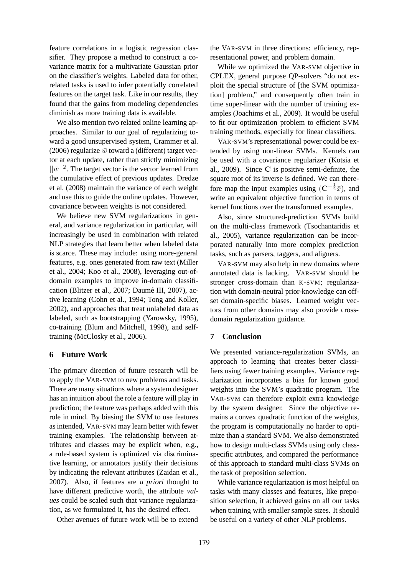feature correlations in a logistic regression classifier. They propose a method to construct a covariance matrix for a multivariate Gaussian prior on the classifier's weights. Labeled data for other, related tasks is used to infer potentially correlated features on the target task. Like in our results, they found that the gains from modeling dependencies diminish as more training data is available.

We also mention two related online learning approaches. Similar to our goal of regularizing toward a good unsupervised system, Crammer et al. (2006) regularize  $\bar{w}$  toward a (different) target vector at each update, rather than strictly minimizing  $||\bar{w}||^2$ . The target vector is the vector learned from the cumulative effect of previous updates. Dredze et al. (2008) maintain the variance of each weight and use this to guide the online updates. However, covariance between weights is not considered.

We believe new SVM regularizations in general, and variance regularization in particular, will increasingly be used in combination with related NLP strategies that learn better when labeled data is scarce. These may include: using more-general features, e.g. ones generated from raw text (Miller et al., 2004; Koo et al., 2008), leveraging out-ofdomain examples to improve in-domain classification (Blitzer et al., 2007; Daumé III, 2007), active learning (Cohn et al., 1994; Tong and Koller, 2002), and approaches that treat unlabeled data as labeled, such as bootstrapping (Yarowsky, 1995), co-training (Blum and Mitchell, 1998), and selftraining (McClosky et al., 2006).

### **6 Future Work**

The primary direction of future research will be to apply the VAR-SVM to new problems and tasks. There are many situations where a system designer has an intuition about the role a feature will play in prediction; the feature was perhaps added with this role in mind. By biasing the SVM to use features as intended, VAR-SVM may learn better with fewer training examples. The relationship between attributes and classes may be explicit when, e.g., a rule-based system is optimized via discriminative learning, or annotators justify their decisions by indicating the relevant attributes (Zaidan et al., 2007). Also, if features are *a priori* thought to have different predictive worth, the attribute *values* could be scaled such that variance regularization, as we formulated it, has the desired effect.

Other avenues of future work will be to extend

the VAR-SVM in three directions: efficiency, representational power, and problem domain.

While we optimized the VAR-SVM objective in CPLEX, general purpose QP-solvers "do not exploit the special structure of [the SVM optimization] problem," and consequently often train in time super-linear with the number of training examples (Joachims et al., 2009). It would be useful to fit our optimization problem to efficient SVM training methods, especially for linear classifiers.

VAR-SVM's representational power could be extended by using non-linear SVMs. Kernels can be used with a covariance regularizer (Kotsia et al., 2009). Since C is positive semi-definite, the square root of its inverse is defined. We can therefore map the input examples using  $(\mathbf{C}^{-\frac{1}{2}}\bar{x})$ , and write an equivalent objective function in terms of kernel functions over the transformed examples.

Also, since structured-prediction SVMs build on the multi-class framework (Tsochantaridis et al., 2005), variance regularization can be incorporated naturally into more complex prediction tasks, such as parsers, taggers, and aligners.

VAR-SVM may also help in new domains where annotated data is lacking. VAR-SVM should be stronger cross-domain than K-SVM; regularization with domain-neutral prior-knowledge can offset domain-specific biases. Learned weight vectors from other domains may also provide crossdomain regularization guidance.

#### **7 Conclusion**

We presented variance-regularization SVMs, an approach to learning that creates better classifiers using fewer training examples. Variance regularization incorporates a bias for known good weights into the SVM's quadratic program. The VAR-SVM can therefore exploit extra knowledge by the system designer. Since the objective remains a convex quadratic function of the weights, the program is computationally no harder to optimize than a standard SVM. We also demonstrated how to design multi-class SVMs using only classspecific attributes, and compared the performance of this approach to standard multi-class SVMs on the task of preposition selection.

While variance regularization is most helpful on tasks with many classes and features, like preposition selection, it achieved gains on all our tasks when training with smaller sample sizes. It should be useful on a variety of other NLP problems.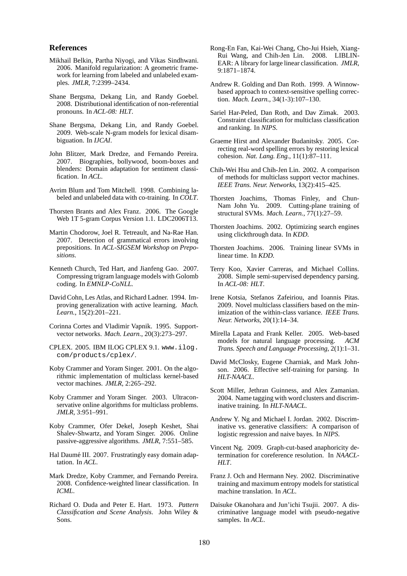### **References**

- Mikhail Belkin, Partha Niyogi, and Vikas Sindhwani. 2006. Manifold regularization: A geometric framework for learning from labeled and unlabeled examples. *JMLR*, 7:2399–2434.
- Shane Bergsma, Dekang Lin, and Randy Goebel. 2008. Distributional identification of non-referential pronouns. In *ACL-08: HLT*.
- Shane Bergsma, Dekang Lin, and Randy Goebel. 2009. Web-scale N-gram models for lexical disambiguation. In *IJCAI*.
- John Blitzer, Mark Dredze, and Fernando Pereira. 2007. Biographies, bollywood, boom-boxes and blenders: Domain adaptation for sentiment classification. In *ACL*.
- Avrim Blum and Tom Mitchell. 1998. Combining labeled and unlabeled data with co-training. In *COLT*.
- Thorsten Brants and Alex Franz. 2006. The Google Web 1T 5-gram Corpus Version 1.1. LDC2006T13.
- Martin Chodorow, Joel R. Tetreault, and Na-Rae Han. 2007. Detection of grammatical errors involving prepositions. In *ACL-SIGSEM Workshop on Prepositions*.
- Kenneth Church, Ted Hart, and Jianfeng Gao. 2007. Compressing trigram language models with Golomb coding. In *EMNLP-CoNLL*.
- David Cohn, Les Atlas, and Richard Ladner. 1994. Improving generalization with active learning. *Mach. Learn.*, 15(2):201–221.
- Corinna Cortes and Vladimir Vapnik. 1995. Supportvector networks. *Mach. Learn.*, 20(3):273–297.
- CPLEX. 2005. IBM ILOG CPLEX 9.1. www.ilog. com/products/cplex/.
- Koby Crammer and Yoram Singer. 2001. On the algorithmic implementation of multiclass kernel-based vector machines. *JMLR*, 2:265–292.
- Koby Crammer and Yoram Singer. 2003. Ultraconservative online algorithms for multiclass problems. *JMLR*, 3:951–991.
- Koby Crammer, Ofer Dekel, Joseph Keshet, Shai Shalev-Shwartz, and Yoram Singer. 2006. Online passive-aggressive algorithms. *JMLR*, 7:551–585.
- Hal Daumé III. 2007. Frustratingly easy domain adaptation. In *ACL*.
- Mark Dredze, Koby Crammer, and Fernando Pereira. 2008. Confidence-weighted linear classification. In *ICML*.
- Richard O. Duda and Peter E. Hart. 1973. *Pattern Classification and Scene Analysis*. John Wiley & Sons.
- Rong-En Fan, Kai-Wei Chang, Cho-Jui Hsieh, Xiang-Rui Wang, and Chih-Jen Lin. 2008. LIBLIN-EAR: A library for large linear classification. *JMLR*, 9:1871–1874.
- Andrew R. Golding and Dan Roth. 1999. A Winnowbased approach to context-sensitive spelling correction. *Mach. Learn.*, 34(1-3):107–130.
- Sariel Har-Peled, Dan Roth, and Dav Zimak. 2003. Constraint classification for multiclass classification and ranking. In *NIPS*.
- Graeme Hirst and Alexander Budanitsky. 2005. Correcting real-word spelling errors by restoring lexical cohesion. *Nat. Lang. Eng.*, 11(1):87–111.
- Chih-Wei Hsu and Chih-Jen Lin. 2002. A comparison of methods for multiclass support vector machines. *IEEE Trans. Neur. Networks*, 13(2):415–425.
- Thorsten Joachims, Thomas Finley, and Chun-Nam John Yu. 2009. Cutting-plane training of structural SVMs. *Mach. Learn.*, 77(1):27–59.
- Thorsten Joachims. 2002. Optimizing search engines using clickthrough data. In *KDD*.
- Thorsten Joachims. 2006. Training linear SVMs in linear time. In *KDD*.
- Terry Koo, Xavier Carreras, and Michael Collins. 2008. Simple semi-supervised dependency parsing. In *ACL-08: HLT*.
- Irene Kotsia, Stefanos Zafeiriou, and Ioannis Pitas. 2009. Novel multiclass classifiers based on the minimization of the within-class variance. *IEEE Trans. Neur. Networks*, 20(1):14–34.
- Mirella Lapata and Frank Keller. 2005. Web-based models for natural language processing. *ACM Trans. Speech and Language Processing*, 2(1):1–31.
- David McClosky, Eugene Charniak, and Mark Johnson. 2006. Effective self-training for parsing. In *HLT-NAACL*.
- Scott Miller, Jethran Guinness, and Alex Zamanian. 2004. Name tagging with word clusters and discriminative training. In *HLT-NAACL*.
- Andrew Y. Ng and Michael I. Jordan. 2002. Discriminative vs. generative classifiers: A comparison of logistic regression and naive bayes. In *NIPS*.
- Vincent Ng. 2009. Graph-cut-based anaphoricity determination for coreference resolution. In *NAACL-HLT*.
- Franz J. Och and Hermann Ney. 2002. Discriminative training and maximum entropy models for statistical machine translation. In *ACL*.
- Daisuke Okanohara and Jun'ichi Tsujii. 2007. A discriminative language model with pseudo-negative samples. In *ACL*.